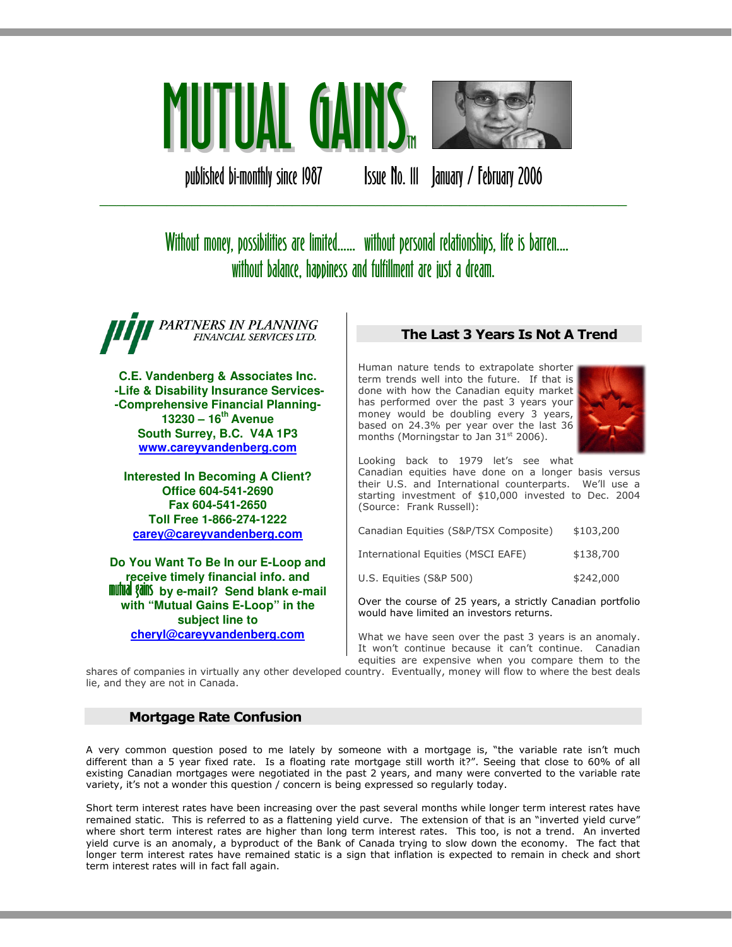

published bi-monthly since 1987 Issue No. III January / February 2006

# Without money, possibilities are limited...... without personal relationships, life is barren.... without balance, happiness and fulfillment are just a dream.

\_\_\_\_\_\_\_\_\_\_\_\_\_\_\_\_\_\_\_\_\_\_\_\_\_\_\_\_\_\_\_\_\_\_\_\_\_\_\_\_\_\_\_\_\_\_\_\_\_\_\_\_\_\_\_\_\_\_\_\_\_\_\_

PARTNERS IN PLANNING FINANCIAL SERVICES LTD.

**C.E. Vandenberg & Associates Inc. -Life & Disability Insurance Services- -Comprehensive Financial Planning-13230 – 16th Avenue South Surrey, B.C. V4A 1P3 www.careyvandenberg.com**

**Interested In Becoming A Client? Office 604-541-2690 Fax 604-541-2650 Toll Free 1-866-274-1222 carey@careyvandenberg.com**

**Do You Want To Be In our E-Loop and receive timely financial info. and<br><b>mutual gains** by e-mail? Send blank e-mail **with "Mutual Gains E-Loop" in the subject line to cheryl@careyvandenberg.com**

# The Last 3 Years Is Not A Trend

Human nature tends to extrapolate shorter term trends well into the future. If that is done with how the Canadian equity market has performed over the past 3 years your money would be doubling every 3 years, based on 24.3% per year over the last 36 months (Morningstar to Jan  $31<sup>st</sup>$  2006).



Looking back to 1979 let's see what Canadian equities have done on a longer basis versus their U.S. and International counterparts. We'll use a starting investment of \$10,000 invested to Dec. 2004 (Source: Frank Russell):

| Canadian Equities (S&P/TSX Composite) | \$103,200 |
|---------------------------------------|-----------|
| International Equities (MSCI EAFE)    | \$138,700 |
| U.S. Equities (S&P 500)               | \$242,000 |

Over the course of 25 years, a strictly Canadian portfolio would have limited an investors returns.

What we have seen over the past 3 years is an anomaly. It won't continue because it can't continue. Canadian equities are expensive when you compare them to the

shares of companies in virtually any other developed country. Eventually, money will flow to where the best deals lie, and they are not in Canada.

# Mortgage Rate Confusion

A very common question posed to me lately by someone with a mortgage is, "the variable rate isn't much different than a 5 year fixed rate. Is a floating rate mortgage still worth it?". Seeing that close to 60% of all existing Canadian mortgages were negotiated in the past 2 years, and many were converted to the variable rate variety, it's not a wonder this question / concern is being expressed so regularly today.

Short term interest rates have been increasing over the past several months while longer term interest rates have remained static. This is referred to as a flattening yield curve. The extension of that is an "inverted yield curve" where short term interest rates are higher than long term interest rates. This too, is not a trend. An inverted yield curve is an anomaly, a byproduct of the Bank of Canada trying to slow down the economy. The fact that longer term interest rates have remained static is a sign that inflation is expected to remain in check and short term interest rates will in fact fall again.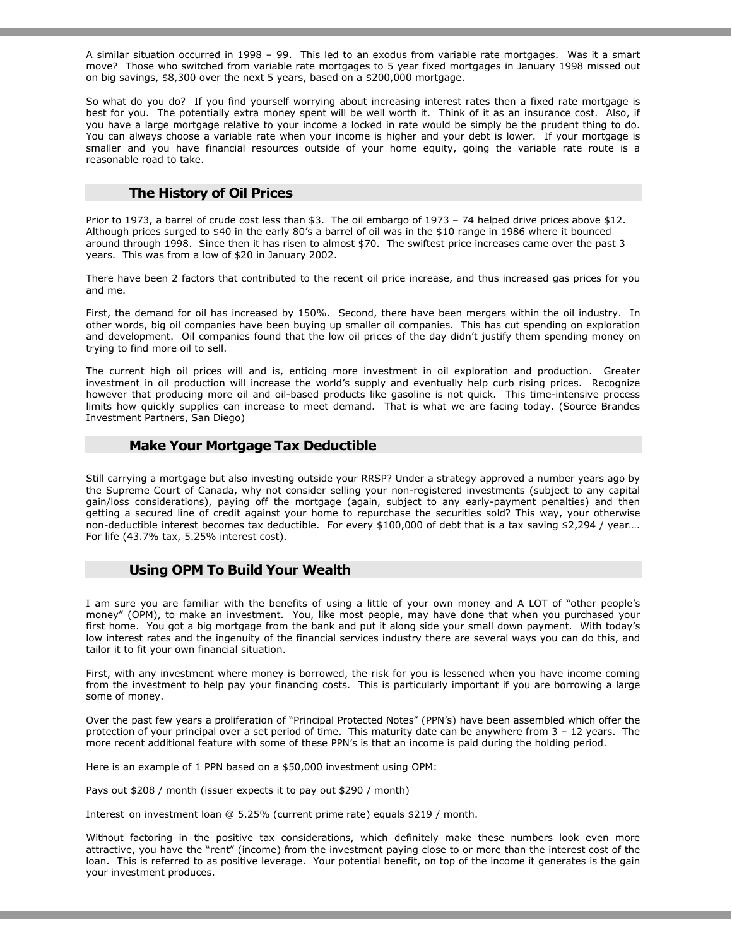A similar situation occurred in 1998 – 99. This led to an exodus from variable rate mortgages. Was it a smart move? Those who switched from variable rate mortgages to 5 year fixed mortgages in January 1998 missed out on big savings, \$8,300 over the next 5 years, based on a \$200,000 mortgage.

So what do you do? If you find yourself worrying about increasing interest rates then a fixed rate mortgage is best for you. The potentially extra money spent will be well worth it. Think of it as an insurance cost. Also, if you have a large mortgage relative to your income a locked in rate would be simply be the prudent thing to do. You can always choose a variable rate when your income is higher and your debt is lower. If your mortgage is smaller and you have financial resources outside of your home equity, going the variable rate route is a reasonable road to take.

# The History of Oil Prices

Prior to 1973, a barrel of crude cost less than \$3. The oil embargo of 1973 – 74 helped drive prices above \$12. Although prices surged to \$40 in the early 80's a barrel of oil was in the \$10 range in 1986 where it bounced around through 1998. Since then it has risen to almost \$70. The swiftest price increases came over the past 3 years. This was from a low of \$20 in January 2002.

There have been 2 factors that contributed to the recent oil price increase, and thus increased gas prices for you and me.

First, the demand for oil has increased by 150%. Second, there have been mergers within the oil industry. In other words, big oil companies have been buying up smaller oil companies. This has cut spending on exploration and development. Oil companies found that the low oil prices of the day didn't justify them spending money on trying to find more oil to sell.

The current high oil prices will and is, enticing more investment in oil exploration and production. Greater investment in oil production will increase the world's supply and eventually help curb rising prices. Recognize however that producing more oil and oil-based products like gasoline is not quick. This time-intensive process limits how quickly supplies can increase to meet demand. That is what we are facing today. (Source Brandes Investment Partners, San Diego)

# Make Your Mortgage Tax Deductible

Still carrying a mortgage but also investing outside your RRSP? Under a strategy approved a number years ago by the Supreme Court of Canada, why not consider selling your non-registered investments (subject to any capital gain/loss considerations), paying off the mortgage (again, subject to any early-payment penalties) and then getting a secured line of credit against your home to repurchase the securities sold? This way, your otherwise non-deductible interest becomes tax deductible. For every \$100,000 of debt that is a tax saving \$2,294 / year... For life (43.7% tax, 5.25% interest cost).

# Using OPM To Build Your Wealth

I am sure you are familiar with the benefits of using a little of your own money and A LOT of "other people's money" (OPM), to make an investment. You, like most people, may have done that when you purchased your first home. You got a big mortgage from the bank and put it along side your small down payment. With today's low interest rates and the ingenuity of the financial services industry there are several ways you can do this, and tailor it to fit your own financial situation.

First, with any investment where money is borrowed, the risk for you is lessened when you have income coming from the investment to help pay your financing costs. This is particularly important if you are borrowing a large some of money.

Over the past few years a proliferation of "Principal Protected Notes" (PPN's) have been assembled which offer the protection of your principal over a set period of time. This maturity date can be anywhere from 3 – 12 years. The more recent additional feature with some of these PPN's is that an income is paid during the holding period.

Here is an example of 1 PPN based on a \$50,000 investment using OPM:

Pays out \$208 / month (issuer expects it to pay out \$290 / month)

Interest on investment loan @ 5.25% (current prime rate) equals \$219 / month.

Without factoring in the positive tax considerations, which definitely make these numbers look even more attractive, you have the "rent" (income) from the investment paying close to or more than the interest cost of the loan. This is referred to as positive leverage. Your potential benefit, on top of the income it generates is the gain your investment produces.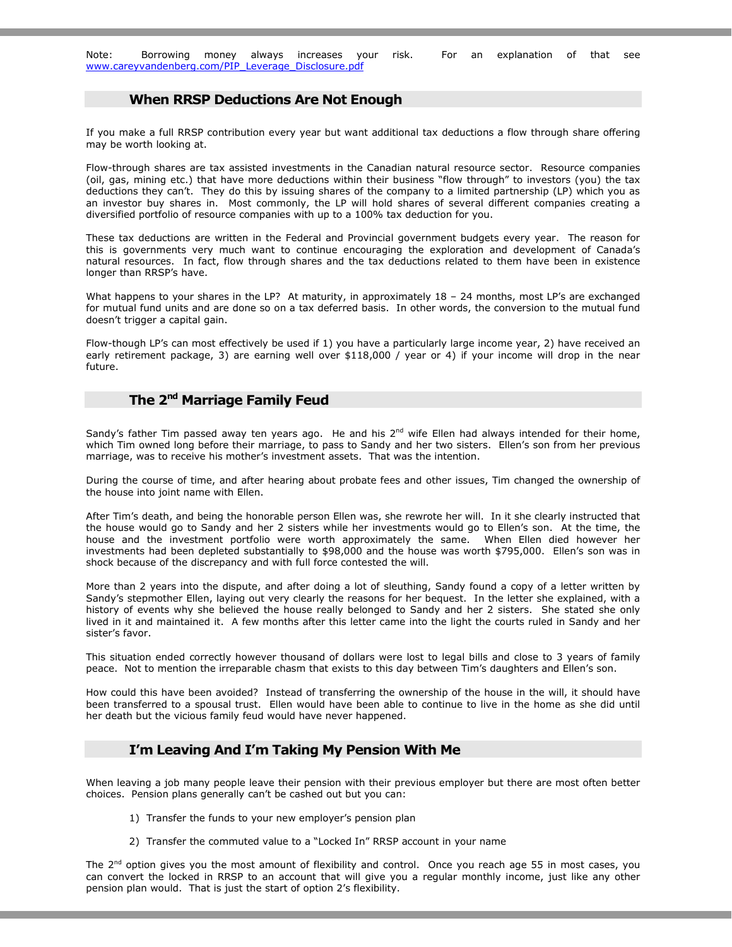Note: Borrowing money always increases your risk. For an explanation of that see www.careyvandenberg.com/PIP\_Leverage\_Disclosure.pdf

#### When RRSP Deductions Are Not Enough

If you make a full RRSP contribution every year but want additional tax deductions a flow through share offering may be worth looking at.

Flow-through shares are tax assisted investments in the Canadian natural resource sector. Resource companies (oil, gas, mining etc.) that have more deductions within their business "flow through" to investors (you) the tax deductions they can't. They do this by issuing shares of the company to a limited partnership (LP) which you as an investor buy shares in. Most commonly, the LP will hold shares of several different companies creating a diversified portfolio of resource companies with up to a 100% tax deduction for you.

These tax deductions are written in the Federal and Provincial government budgets every year. The reason for this is governments very much want to continue encouraging the exploration and development of Canada's natural resources. In fact, flow through shares and the tax deductions related to them have been in existence longer than RRSP's have.

What happens to your shares in the LP? At maturity, in approximately 18 - 24 months, most LP's are exchanged for mutual fund units and are done so on a tax deferred basis. In other words, the conversion to the mutual fund doesn't trigger a capital gain.

Flow-though LP's can most effectively be used if 1) you have a particularly large income year, 2) have received an early retirement package, 3) are earning well over \$118,000 / year or 4) if your income will drop in the near future.

# The 2<sup>nd</sup> Marriage Family Feud

Sandy's father Tim passed away ten years ago. He and his  $2^{nd}$  wife Ellen had always intended for their home, which Tim owned long before their marriage, to pass to Sandy and her two sisters. Ellen's son from her previous marriage, was to receive his mother's investment assets. That was the intention.

During the course of time, and after hearing about probate fees and other issues, Tim changed the ownership of the house into joint name with Ellen.

After Tim's death, and being the honorable person Ellen was, she rewrote her will. In it she clearly instructed that the house would go to Sandy and her 2 sisters while her investments would go to Ellen's son. At the time, the house and the investment portfolio were worth approximately the same. When Ellen died however her investments had been depleted substantially to \$98,000 and the house was worth \$795,000. Ellen's son was in shock because of the discrepancy and with full force contested the will.

More than 2 years into the dispute, and after doing a lot of sleuthing, Sandy found a copy of a letter written by Sandy's stepmother Ellen, laying out very clearly the reasons for her bequest. In the letter she explained, with a history of events why she believed the house really belonged to Sandy and her 2 sisters. She stated she only lived in it and maintained it. A few months after this letter came into the light the courts ruled in Sandy and her sister's favor.

This situation ended correctly however thousand of dollars were lost to legal bills and close to 3 years of family peace. Not to mention the irreparable chasm that exists to this day between Tim's daughters and Ellen's son.

How could this have been avoided? Instead of transferring the ownership of the house in the will, it should have been transferred to a spousal trust. Ellen would have been able to continue to live in the home as she did until her death but the vicious family feud would have never happened.

# I'm Leaving And I'm Taking My Pension With Me

When leaving a job many people leave their pension with their previous employer but there are most often better choices. Pension plans generally can't be cashed out but you can:

- 1) Transfer the funds to your new employer's pension plan
- 2) Transfer the commuted value to a "Locked In" RRSP account in your name

The  $2^{nd}$  option gives you the most amount of flexibility and control. Once you reach age 55 in most cases, you can convert the locked in RRSP to an account that will give you a regular monthly income, just like any other pension plan would. That is just the start of option 2's flexibility.